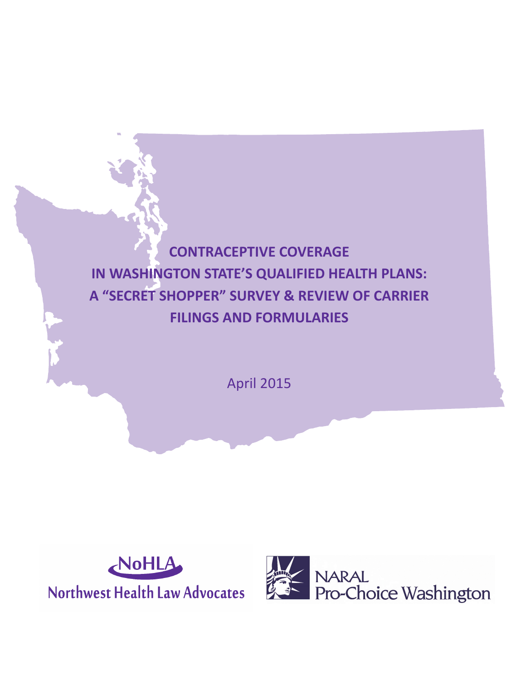## **CONTRACEPTIVE COVERAGE IN WASHINGTON STATE'S QUALIFIED HEALTH PLANS: A "SECRET SHOPPER" SURVEY & REVIEW OF CARRIER FILINGS AND FORMULARIES**

April 2015



Northwest Health Law Advocates

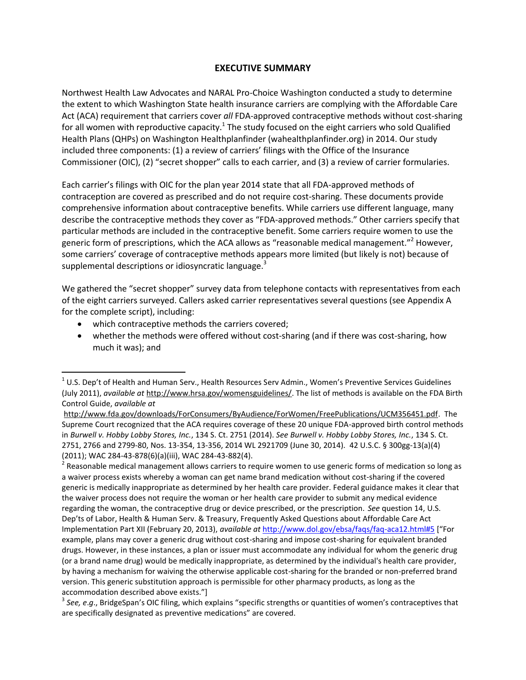## **EXECUTIVE SUMMARY**

Northwest Health Law Advocates and NARAL Pro-Choice Washington conducted a study to determine the extent to which Washington State health insurance carriers are complying with the Affordable Care Act (ACA) requirement that carriers cover *all* FDA-approved contraceptive methods without cost-sharing for all women with reproductive capacity.<sup>1</sup> The study focused on the eight carriers who sold Qualified Health Plans (QHPs) on Washington Healthplanfinder (wahealthplanfinder.org) in 2014. Our study included three components: (1) a review of carriers' filings with the Office of the Insurance Commissioner (OIC), (2) "secret shopper" calls to each carrier, and (3) a review of carrier formularies.

Each carrier's filings with OIC for the plan year 2014 state that all FDA-approved methods of contraception are covered as prescribed and do not require cost-sharing. These documents provide comprehensive information about contraceptive benefits. While carriers use different language, many describe the contraceptive methods they cover as "FDA-approved methods." Other carriers specify that particular methods are included in the contraceptive benefit. Some carriers require women to use the generic form of prescriptions, which the ACA allows as "reasonable medical management."<sup>2</sup> However, some carriers' coverage of contraceptive methods appears more limited (but likely is not) because of supplemental descriptions or idiosyncratic language.<sup>3</sup>

We gathered the "secret shopper" survey data from telephone contacts with representatives from each of the eight carriers surveyed. Callers asked carrier representatives several questions (see Appendix A for the complete script), including:

- which contraceptive methods the carriers covered;
- whether the methods were offered without cost-sharing (and if there was cost-sharing, how much it was); and

 $\overline{a}$  $^{1}$  U.S. Dep't of Health and Human Serv., Health Resources Serv Admin., Women's Preventive Services Guidelines (July 2011), *available at* [http://www.hrsa.gov/womensguidelines/.](http://www.hrsa.gov/womensguidelines/) The list of methods is available on the FDA Birth Control Guide, *available at*

[http://www.fda.gov/downloads/ForConsumers/ByAudience/ForWomen/FreePublications/UCM356451.pdf.](http://www.fda.gov/downloads/ForConsumers/ByAudience/ForWomen/FreePublications/UCM356451.pdf) The Supreme Court recognized that the ACA requires coverage of these 20 unique FDA-approved birth control methods in *Burwell v. Hobby Lobby Stores, Inc.*, 134 S. Ct. 2751 (2014). *See Burwell v. Hobby Lobby Stores, Inc.*, 134 S. Ct. 2751, 2766 and 2799-80, Nos. 13-354, 13-356, 2014 WL 2921709 (June 30, 2014). 42 U.S.C. § 300gg-13(a)(4) (2011); WAC 284-43-878(6)(a)(iii), WAC 284-43-882(4).

<sup>&</sup>lt;sup>2</sup> Reasonable medical management allows carriers to require women to use generic forms of medication so long as a waiver process exists whereby a woman can get name brand medication without cost-sharing if the covered generic is medically inappropriate as determined by her health care provider. Federal guidance makes it clear that the waiver process does not require the woman or her health care provider to submit any medical evidence regarding the woman, the contraceptive drug or device prescribed, or the prescription. *See* question 14, U.S. Dep'ts of Labor, Health & Human Serv. & Treasury, Frequently Asked Questions about Affordable Care Act Implementation Part XII (February 20, 2013), *available at* <http://www.dol.gov/ebsa/faqs/faq-aca12.html#5> ["For example, plans may cover a generic drug without cost-sharing and impose cost-sharing for equivalent branded drugs. However, in these instances, a plan or issuer must accommodate any individual for whom the generic drug (or a brand name drug) would be medically inappropriate, as determined by the individual's health care provider, by having a mechanism for waiving the otherwise applicable cost-sharing for the branded or non-preferred brand version. This generic substitution approach is permissible for other pharmacy products, as long as the accommodation described above exists."]

<sup>3</sup> *See, e*.*g*., BridgeSpan's OIC filing, which explains "specific strengths or quantities of women's contraceptives that are specifically designated as preventive medications" are covered.